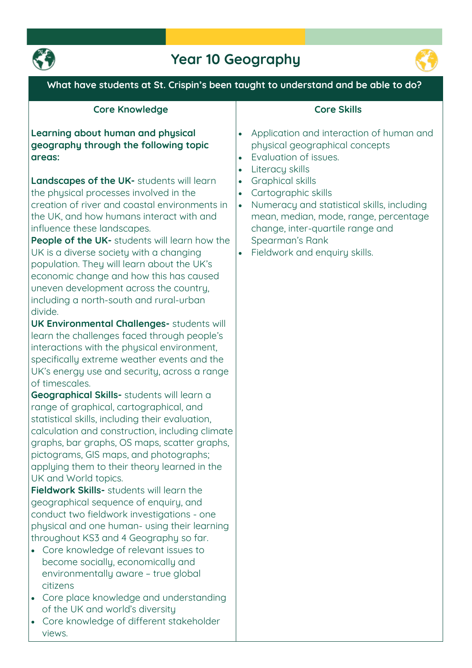

## **Year 10 Geography**



**What have students at St. Crispin's been taught to understand and be able to do?**

#### **Core Knowledge**

**Learning about human and physical geography through the following topic areas:**

**Landscapes of the UK- students will learn the physical processes involved in the creation of river and coastal environments in the UK, and how humans interact with and influence these landscapes.**

**People of the UK- students will learn how the UK is a diverse society with a changing population. They will learn about the UK's economic change and how this has caused uneven development across the country, including a north-south and rural-urban divide.**

**UK Environmental Challenges- students will learn the challenges faced through people's interactions with the physical environment, specifically extreme weather events and the UK's energy use and security, across a range of timescales.**

**Geographical Skills- students will learn a range of graphical, cartographical, and statistical skills, including their evaluation, calculation and construction, including climate graphs, bar graphs, OS maps, scatter graphs, pictograms, GIS maps, and photographs; applying them to their theory learned in the UK and World topics.**

**Fieldwork Skills- students will learn the geographical sequence of enquiry, and conduct two fieldwork investigations - one physical and one human- using their learning throughout KS3 and 4 Geography so far.**

- **Core knowledge of relevant issues to become socially, economically and environmentally aware – true global citizens**
- **Core place knowledge and understanding of the UK and world's diversity**
- **Core knowledge of different stakeholder views.**

### **Core Skills**

- **Application and interaction of human and physical geographical concepts**
- **Evaluation of issues.**
- **Literacy skills**
- **Graphical skills**
- **Cartographic skills**
- **Numeracy and statistical skills, including mean, median, mode, range, percentage change, inter-quartile range and Spearman's Rank**
- **Fieldwork and enquiry skills.**